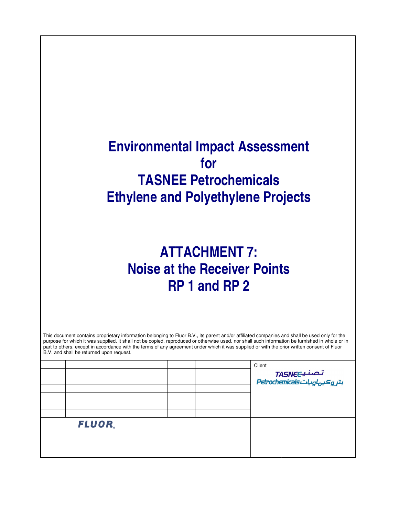## **Environmental Impact Assessment for TASNEE Petrochemicals Ethylene and Polyethylene Projects**

## **ATTACHMENT 7: Noise at the Receiver Points RP 1 and RP 2**

| This document contains proprietary information belonging to Fluor B.V., its parent and/or affiliated companies and shall be used only for the<br>purpose for which it was supplied. It shall not be copied, reproduced or otherwise used, nor shall such information be furnished in whole or in<br>part to others, except in accordance with the terms of any agreement under which it was supplied or with the prior written consent of Fluor<br>B.V. and shall be returned upon request. |  |  |  |                                                |
|---------------------------------------------------------------------------------------------------------------------------------------------------------------------------------------------------------------------------------------------------------------------------------------------------------------------------------------------------------------------------------------------------------------------------------------------------------------------------------------------|--|--|--|------------------------------------------------|
|                                                                                                                                                                                                                                                                                                                                                                                                                                                                                             |  |  |  | Client                                         |
|                                                                                                                                                                                                                                                                                                                                                                                                                                                                                             |  |  |  |                                                |
|                                                                                                                                                                                                                                                                                                                                                                                                                                                                                             |  |  |  | تـصـنـيــTASNEC<br>بتر وكيہاوياتBetrochemicals |
|                                                                                                                                                                                                                                                                                                                                                                                                                                                                                             |  |  |  |                                                |
|                                                                                                                                                                                                                                                                                                                                                                                                                                                                                             |  |  |  |                                                |
|                                                                                                                                                                                                                                                                                                                                                                                                                                                                                             |  |  |  |                                                |
|                                                                                                                                                                                                                                                                                                                                                                                                                                                                                             |  |  |  |                                                |
| FLUOR.                                                                                                                                                                                                                                                                                                                                                                                                                                                                                      |  |  |  |                                                |
|                                                                                                                                                                                                                                                                                                                                                                                                                                                                                             |  |  |  |                                                |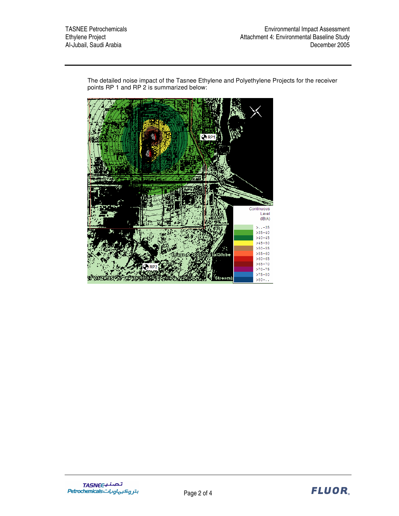$Q$ <sub>RP1</sub> Continuous Level  $dB(A)$  $>-.35$  $>35-40$  $>40-45$  $>45 - 50$  $>50 - 55$  $>55 - 60$ 10loke  $>60-65$ <br> $>65-70$  $570 - 75$ <br> $575 - 80$ <u>\$tream</u>  $>00-1.$ 

The detailed noise impact of the Tasnee Ethylene and Polyethylene Projects for the receiver points RP 1 and RP 2 is summarized below:

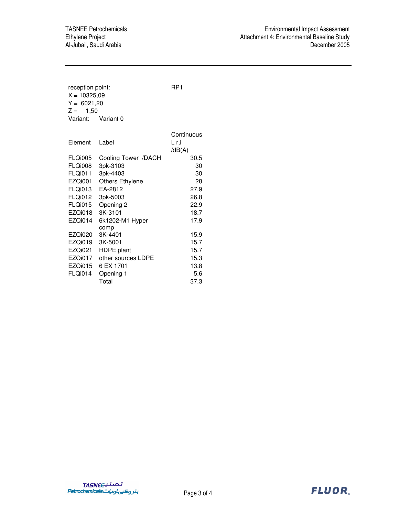Al-Jubail, Saudi Arabia

reception point: RP1  $X = 10325,09$  $Y = 6021,20$  $Z = 1,50$ Variant: Variant 0 **Continuous** Element Label L r,i  $/dB(A)$ FLQi005 Cooling Tower /DACH 30.5 FLQi008 3pk-3103 30 FLQi011 3pk-4403 30 EZQi001 Others Ethylene 28 FLQi013 EA-2812 27.9 FLQi012 3pk-5003 26.8 FLQi015 Opening 2 22.9 EZQi018 3K-3101 18.7 EZQi014 6k1202-M1 Hyper comp 17.9 EZQi020 3K-4401 15.9 EZQi019 3K-5001 15.7 EZQi021 HDPE plant 15.7 EZQi017 other sources LDPE 15.3 EZQi015 6 EX 1701 13.8 FLQi014 Opening 1 5.6 Total 37.3